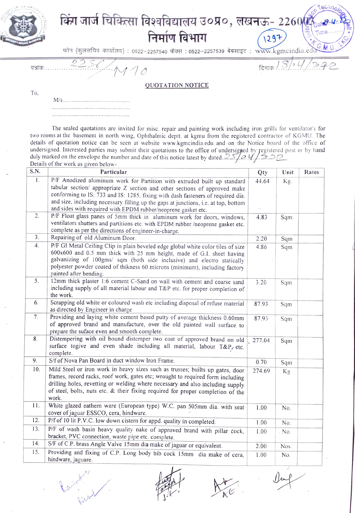

## किंग जार्ज चिकित्सा विश्वविद्यालय उ०प्र०, लखनऊ- 2260@ निर्माण विभाग 1297

फोन (कुलसचिव कार्यालय) : 0522-2257540 फैक्स : 0522-2257539 बेबसाइट : www.kgmcindia.e

पत्रांक  $110$ 

faires or

दिनाकः $18/21$ 

To,

**QUOTATION NOTICE** 

The sealed quotations are invited for misc. repair and painting work including iron grills for ventilator's for two rooms at the basement in north wing, Ophthalmic deptt. at kgmu from the registered contractor of KGMU. The details of quotation notice can be seen at website www.kgmcindia.edu and on the Notice board of the office of undersigned. Interested parties may submit their quotations to the office of undersigned by registered post or by hand<br>duly marked on the envelope the number and date of this notice latest by dated. Details of the work as given below-

| S.N.           | Particular                                                                                                                                                                                                                                                                                                                                                                                        | Qty    | Unit    | Rates |
|----------------|---------------------------------------------------------------------------------------------------------------------------------------------------------------------------------------------------------------------------------------------------------------------------------------------------------------------------------------------------------------------------------------------------|--------|---------|-------|
| $\mathbf{1}$ . | P/F Anodized aluminum work for Partition with extruded built up standard<br>tabular section/ appropriate Z section and other sections of approved make<br>conforming to IS: 733 and IS: 1285, fixing with dash fasteners of required dia.<br>and size, including necessary filling up the gaps at junctions, i.e. at top, bottom<br>and sides with required with EPDM rubber/neoprene gasket etc. | 44.64  | Kg.     |       |
| 2.             | P/F Float glass panes of 5mm thick in aluminum work for doors, windows,<br>ventilators shutters and partitions etc. with EPDM rubber /neoprene gasket etc.<br>complete as per the directions of engineer-in-charge.                                                                                                                                                                               | 4.83   | Sqm.    |       |
| 3.             | Repairing of old Aluminum Door.                                                                                                                                                                                                                                                                                                                                                                   | 2.20   | Sqm     |       |
| 4.             | P/F GI Metal Ceiling Clip in plain beveled edge global white color tiles of size<br>600x600 and 0.5 mm thick with 25 mm height, made of G.I. sheet having<br>galvanizing of 100gms/ sqm (both side inclusive) and electro statically<br>polyester powder coated of thikness 60 microns (minimum), including factory<br>painted after bending.                                                     | 4.86   | Sqm     |       |
| 5.             | 12mm thick plaster 1:6 cement C-Sand on wall with cement and coarse sand<br>including supply of all material labour and T&P etc. for proper completion of<br>the work.                                                                                                                                                                                                                            | 3.20   | Sqm     |       |
| 6.             | Scrapping old white or coloured wash etc including disposal of refuse material<br>as directed by Engineer in charge                                                                                                                                                                                                                                                                               | 87.93  | Sqm     |       |
| 7.             | Providing and laying white cement based putty of average thickness 0.60mm<br>of approved brand and manufacture, over the old painted wall surface to<br>prepare the suface even and smooth complete.                                                                                                                                                                                              | 87.93  | Sqm     |       |
| 8 <sub>1</sub> | Distempering with oil bound distemper two coat of approved brand on old<br>surface togive and even shade including all material, labour T&P etc.<br>complete.                                                                                                                                                                                                                                     | 277.04 | Sqm     |       |
| 9.             | S/f of Nova Pan Board in duct window Iron Frame.                                                                                                                                                                                                                                                                                                                                                  | 0.70   | Sqm     |       |
| 10.            | Mild Steel or iron work in heavy sizes such as trusses; builts up gates, door<br>frames, record racks, roof work, gates etc; wrought to required form including<br>drilling holes, revetting or welding where necessary and also including supply<br>of steel, bolts, nuts etc. & their fixing required for proper completion of the<br>work.                                                     | 274.69 | Kg      |       |
| 11.            | White glazed eathern ware (European type) W.C. pan 505mm dia. with seat<br>cover of jaguar ESSCO, cera, hindware.                                                                                                                                                                                                                                                                                 | 1.00   | No.     |       |
| 12.            | P/f of 10 lit P.V.C. low down cistern for appd. quality in completed.                                                                                                                                                                                                                                                                                                                             | 1.00   | No.     |       |
| 13.            | P/F of wash basin heavy quality nake of approved brand with pillar cock,<br>bracket, PVC connection, waste pipe etc. complete.                                                                                                                                                                                                                                                                    | 1.00   | $-$ No. |       |
| 14.            | S/F of C.P. brass Angle Valve 15mm dia make of jaguar or equivalent.                                                                                                                                                                                                                                                                                                                              | 2.00   | Nos.    |       |
| 15.            | Providing and fixing of C.P. Long body bib cock 15mm dia make of cera,<br>hindware, jaguare.                                                                                                                                                                                                                                                                                                      | 1.00   | No.     |       |